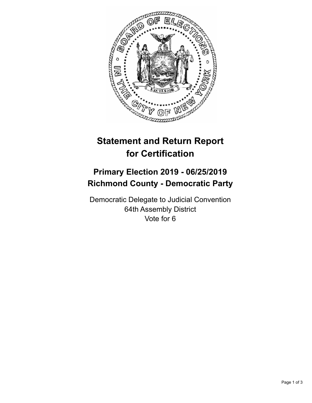

## **Statement and Return Report for Certification**

## **Primary Election 2019 - 06/25/2019 Richmond County - Democratic Party**

Democratic Delegate to Judicial Convention 64th Assembly District Vote for 6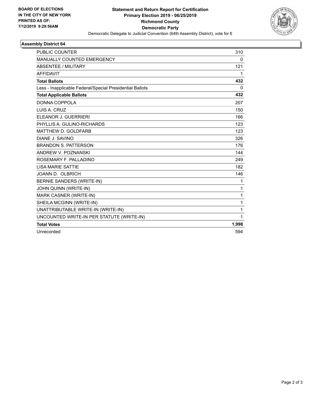

## **Assembly District 64**

| <b>PUBLIC COUNTER</b>                                    | 310          |
|----------------------------------------------------------|--------------|
| MANUALLY COUNTED EMERGENCY                               | 0            |
| ABSENTEE / MILITARY                                      | 121          |
| <b>AFFIDAVIT</b>                                         | 1            |
| <b>Total Ballots</b>                                     | 432          |
| Less - Inapplicable Federal/Special Presidential Ballots | $\Omega$     |
| <b>Total Applicable Ballots</b>                          | 432          |
| DONNA COPPOLA                                            | 207          |
| LUIS A. CRUZ                                             | 150          |
| ELEANOR J. GUERRIERI                                     | 166          |
| PHYLLIS A. GULINO-RICHARDS                               | 123          |
| MATTHEW D. GOLDFARB                                      | 123          |
| DIANE J. SAVINO                                          | 326          |
| <b>BRANDON S. PATTERSON</b>                              | 176          |
| ANDREW V. POZNANSKI                                      | 144          |
| ROSEMARY F. PALLADINO                                    | 249          |
| <b>LISA MARIE SATTIE</b>                                 | 182          |
| JOANN D. OLBRICH                                         | 146          |
| <b>BERNIE SANDERS (WRITE-IN)</b>                         | 1            |
| JOHN QUINN (WRITE-IN)                                    | 1            |
| MARK CASNER (WRITE-IN)                                   | $\mathbf{1}$ |
| SHEILA MCGINN (WRITE-IN)                                 | 1            |
| UNATTRIBUTABLE WRITE-IN (WRITE-IN)                       | 1            |
| UNCOUNTED WRITE-IN PER STATUTE (WRITE-IN)                | 1            |
| <b>Total Votes</b>                                       | 1,998        |
| Unrecorded                                               | 594          |